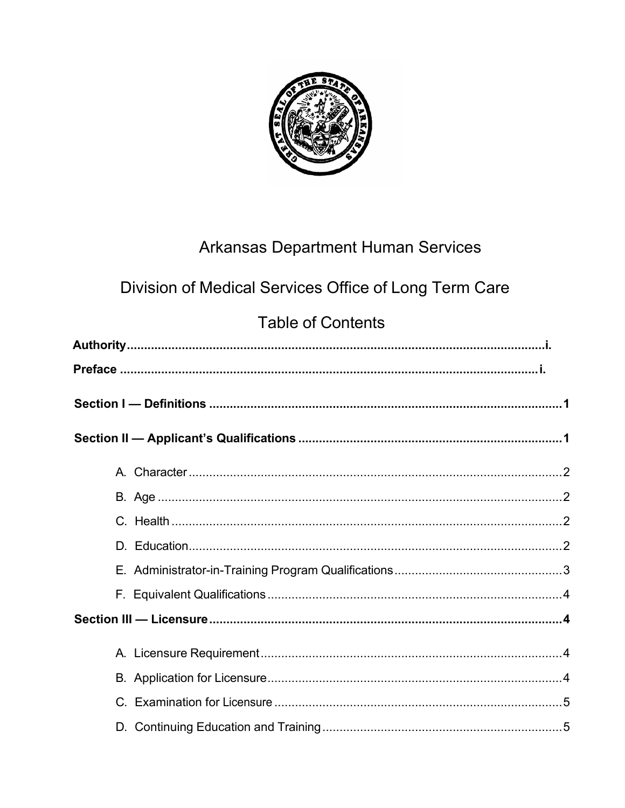

# Arkansas Department Human Services

# Division of Medical Services Office of Long Term Care

# **Table of Contents**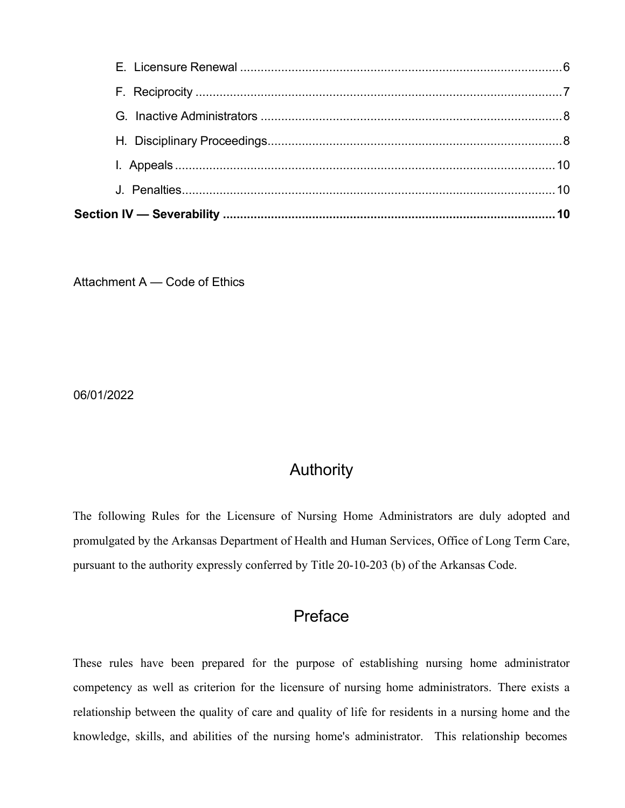Attachment A — Code of Ethics

06/01/2022

## Authority

The following Rules for the Licensure of Nursing Home Administrators are duly adopted and promulgated by the Arkansas Department of Health and Human Services, Office of Long Term Care, pursuant to the authority expressly conferred by Title 20-10-203 (b) of the Arkansas Code.

## Preface

These rules have been prepared for the purpose of establishing nursing home administrator competency as well as criterion for the licensure of nursing home administrators. There exists a relationship between the quality of care and quality of life for residents in a nursing home and the knowledge, skills, and abilities of the nursing home's administrator. This relationship becomes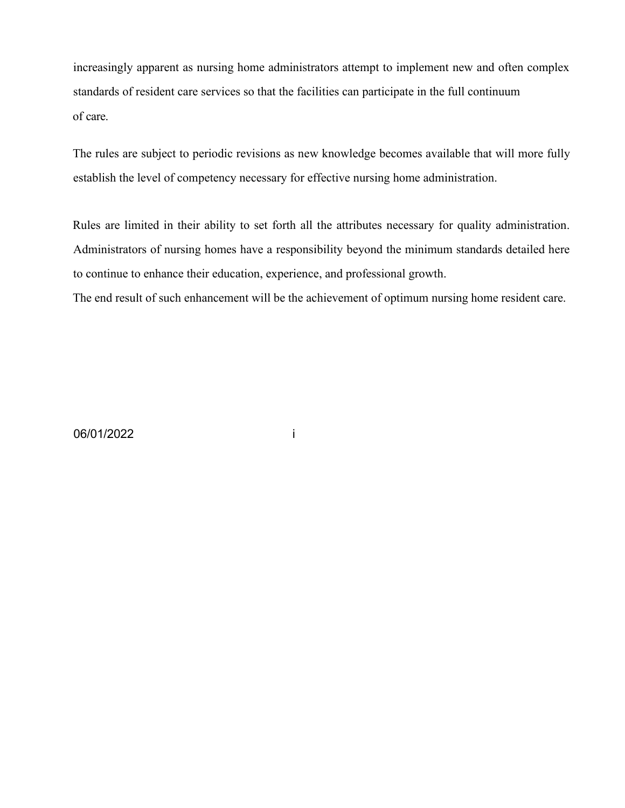increasingly apparent as nursing home administrators attempt to implement new and often complex standards of resident care services so that the facilities can participate in the full continuum of care.

The rules are subject to periodic revisions as new knowledge becomes available that will more fully establish the level of competency necessary for effective nursing home administration.

Rules are limited in their ability to set forth all the attributes necessary for quality administration. Administrators of nursing homes have a responsibility beyond the minimum standards detailed here to continue to enhance their education, experience, and professional growth.

The end result of such enhancement will be the achievement of optimum nursing home resident care.

06/01/2022 i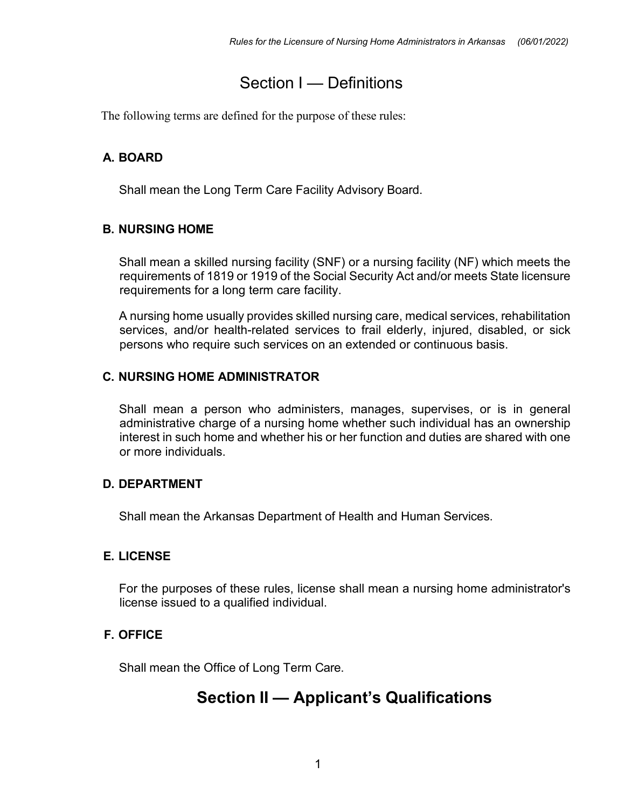## Section I — Definitions

The following terms are defined for the purpose of these rules:

#### **A. BOARD**

Shall mean the Long Term Care Facility Advisory Board.

#### **B. NURSING HOME**

Shall mean a skilled nursing facility (SNF) or a nursing facility (NF) which meets the requirements of 1819 or 1919 of the Social Security Act and/or meets State licensure requirements for a long term care facility.

A nursing home usually provides skilled nursing care, medical services, rehabilitation services, and/or health-related services to frail elderly, injured, disabled, or sick persons who require such services on an extended or continuous basis.

#### **C. NURSING HOME ADMINISTRATOR**

Shall mean a person who administers, manages, supervises, or is in general administrative charge of a nursing home whether such individual has an ownership interest in such home and whether his or her function and duties are shared with one or more individuals.

#### **D. DEPARTMENT**

Shall mean the Arkansas Department of Health and Human Services.

#### **E. LICENSE**

For the purposes of these rules, license shall mean a nursing home administrator's license issued to a qualified individual.

### **F. OFFICE**

Shall mean the Office of Long Term Care.

## **Section II — Applicant's Qualifications**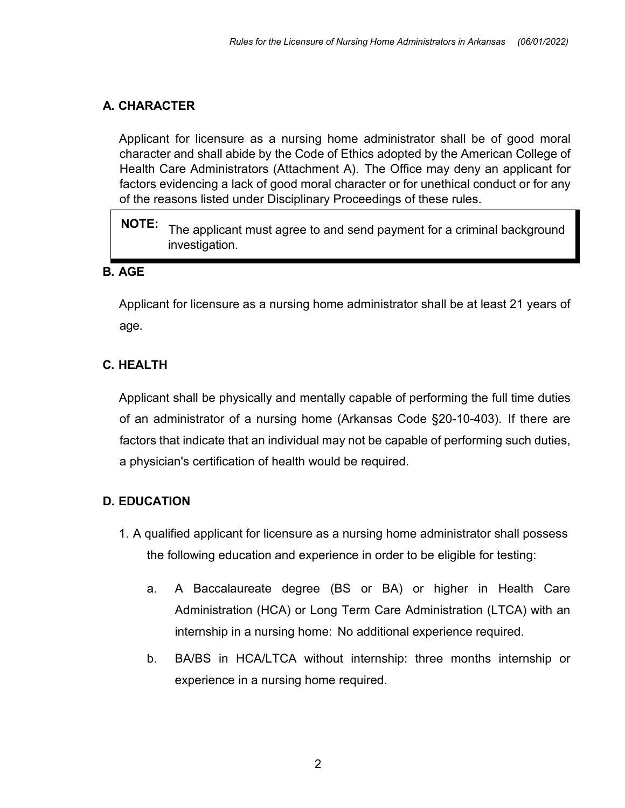#### **A. CHARACTER**

Applicant for licensure as a nursing home administrator shall be of good moral character and shall abide by the Code of Ethics adopted by the American College of Health Care Administrators (Attachment A). The Office may deny an applicant for factors evidencing a lack of good moral character or for unethical conduct or for any of the reasons listed under Disciplinary Proceedings of these rules.

**NOTE:** The applicant must agree to and send payment for a criminal background investigation.

#### **B. AGE**

Applicant for licensure as a nursing home administrator shall be at least 21 years of age.

#### **C. HEALTH**

Applicant shall be physically and mentally capable of performing the full time duties of an administrator of a nursing home (Arkansas Code §20-10-403). If there are factors that indicate that an individual may not be capable of performing such duties, a physician's certification of health would be required.

#### **D. EDUCATION**

- 1. A qualified applicant for licensure as a nursing home administrator shall possess the following education and experience in order to be eligible for testing:
	- a. A Baccalaureate degree (BS or BA) or higher in Health Care Administration (HCA) or Long Term Care Administration (LTCA) with an internship in a nursing home: No additional experience required.
	- b. BA/BS in HCA/LTCA without internship: three months internship or experience in a nursing home required.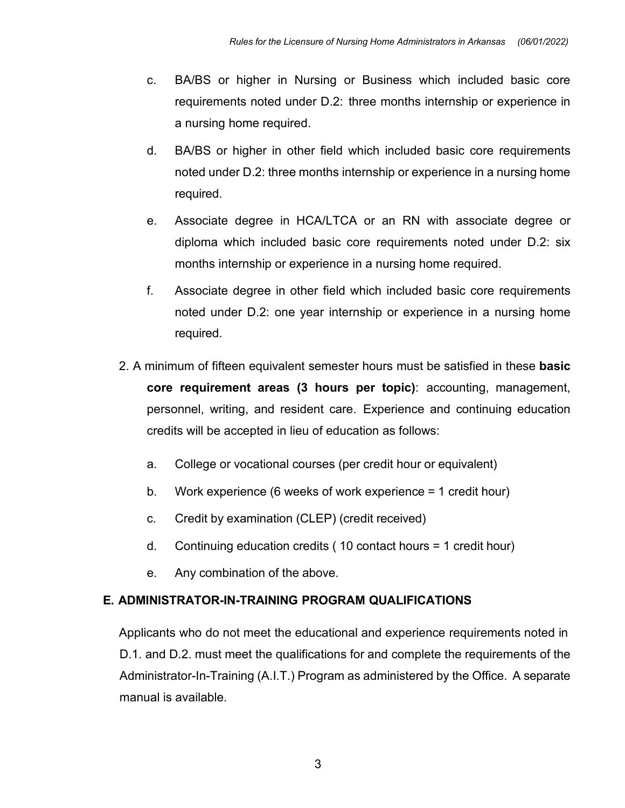- c. BA/BS or higher in Nursing or Business which included basic core requirements noted under D.2: three months internship or experience in a nursing home required.
- d. BA/BS or higher in other field which included basic core requirements noted under D.2: three months internship or experience in a nursing home required.
- e. Associate degree in HCA/LTCA or an RN with associate degree or diploma which included basic core requirements noted under D.2: six months internship or experience in a nursing home required.
- f. Associate degree in other field which included basic core requirements noted under D.2: one year internship or experience in a nursing home required.
- 2. A minimum of fifteen equivalent semester hours must be satisfied in these **basic core requirement areas (3 hours per topic)**: accounting, management, personnel, writing, and resident care. Experience and continuing education credits will be accepted in lieu of education as follows:
	- a. College or vocational courses (per credit hour or equivalent)
	- b. Work experience (6 weeks of work experience = 1 credit hour)
	- c. Credit by examination (CLEP) (credit received)
	- d. Continuing education credits ( 10 contact hours = 1 credit hour)
	- e. Any combination of the above.

#### **E. ADMINISTRATOR-IN-TRAINING PROGRAM QUALIFICATIONS**

Applicants who do not meet the educational and experience requirements noted in D.1. and D.2. must meet the qualifications for and complete the requirements of the Administrator-In-Training (A.I.T.) Program as administered by the Office. A separate manual is available.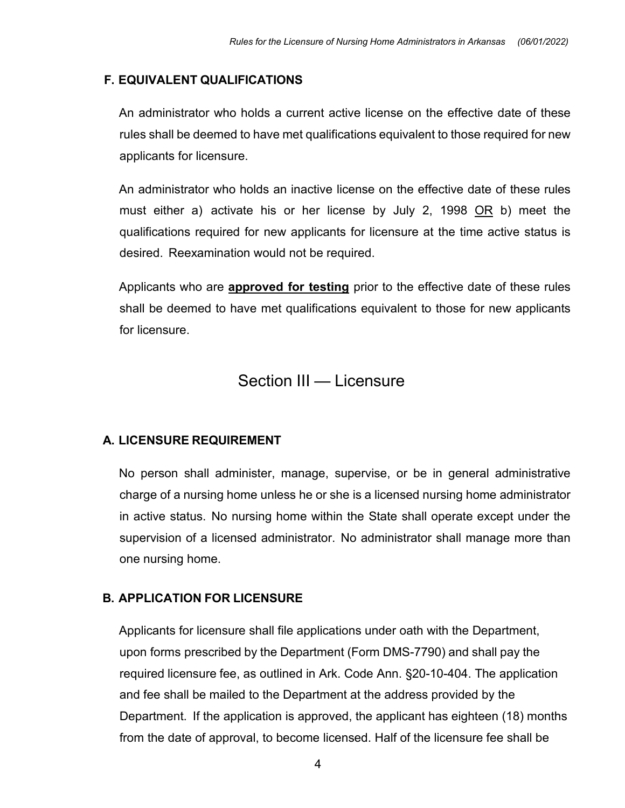#### **F. EQUIVALENT QUALIFICATIONS**

An administrator who holds a current active license on the effective date of these rules shall be deemed to have met qualifications equivalent to those required for new applicants for licensure.

An administrator who holds an inactive license on the effective date of these rules must either a) activate his or her license by July 2, 1998 OR b) meet the qualifications required for new applicants for licensure at the time active status is desired. Reexamination would not be required.

Applicants who are **approved for testing** prior to the effective date of these rules shall be deemed to have met qualifications equivalent to those for new applicants for licensure.

## Section III — Licensure

#### **A. LICENSURE REQUIREMENT**

No person shall administer, manage, supervise, or be in general administrative charge of a nursing home unless he or she is a licensed nursing home administrator in active status. No nursing home within the State shall operate except under the supervision of a licensed administrator. No administrator shall manage more than one nursing home.

#### **B. APPLICATION FOR LICENSURE**

Applicants for licensure shall file applications under oath with the Department, upon forms prescribed by the Department (Form DMS-7790) and shall pay the required licensure fee, as outlined in Ark. Code Ann. §20-10-404. The application and fee shall be mailed to the Department at the address provided by the Department. If the application is approved, the applicant has eighteen (18) months from the date of approval, to become licensed. Half of the licensure fee shall be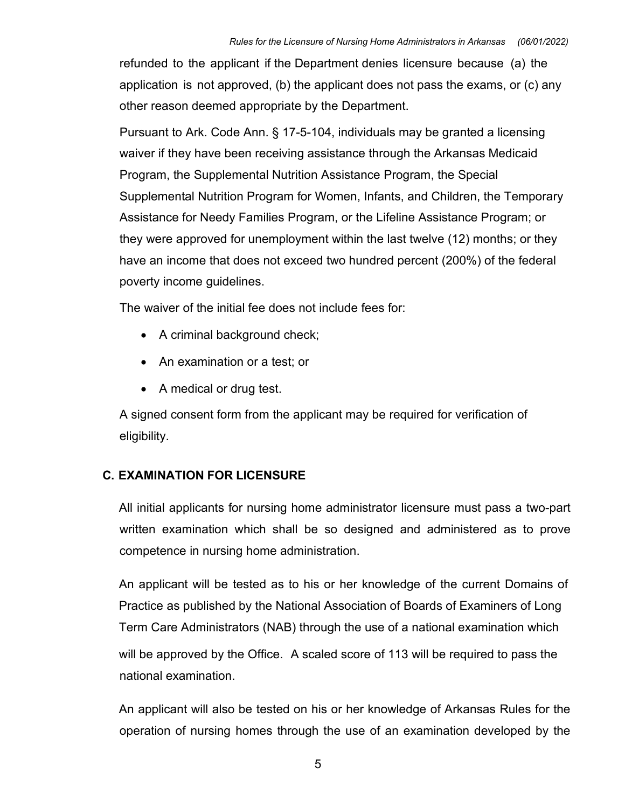refunded to the applicant if the Department denies licensure because (a) the application is not approved, (b) the applicant does not pass the exams, or (c) any other reason deemed appropriate by the Department.

Pursuant to Ark. Code Ann. § 17-5-104, individuals may be granted a licensing waiver if they have been receiving assistance through the Arkansas Medicaid Program, the Supplemental Nutrition Assistance Program, the Special Supplemental Nutrition Program for Women, Infants, and Children, the Temporary Assistance for Needy Families Program, or the Lifeline Assistance Program; or they were approved for unemployment within the last twelve (12) months; or they have an income that does not exceed two hundred percent (200%) of the federal poverty income guidelines.

The waiver of the initial fee does not include fees for:

- A criminal background check;
- An examination or a test; or
- A medical or drug test.

A signed consent form from the applicant may be required for verification of eligibility.

### **C. EXAMINATION FOR LICENSURE**

All initial applicants for nursing home administrator licensure must pass a two-part written examination which shall be so designed and administered as to prove competence in nursing home administration.

An applicant will be tested as to his or her knowledge of the current Domains of Practice as published by the National Association of Boards of Examiners of Long Term Care Administrators (NAB) through the use of a national examination which will be approved by the Office. A scaled score of 113 will be required to pass the national examination.

An applicant will also be tested on his or her knowledge of Arkansas Rules for the operation of nursing homes through the use of an examination developed by the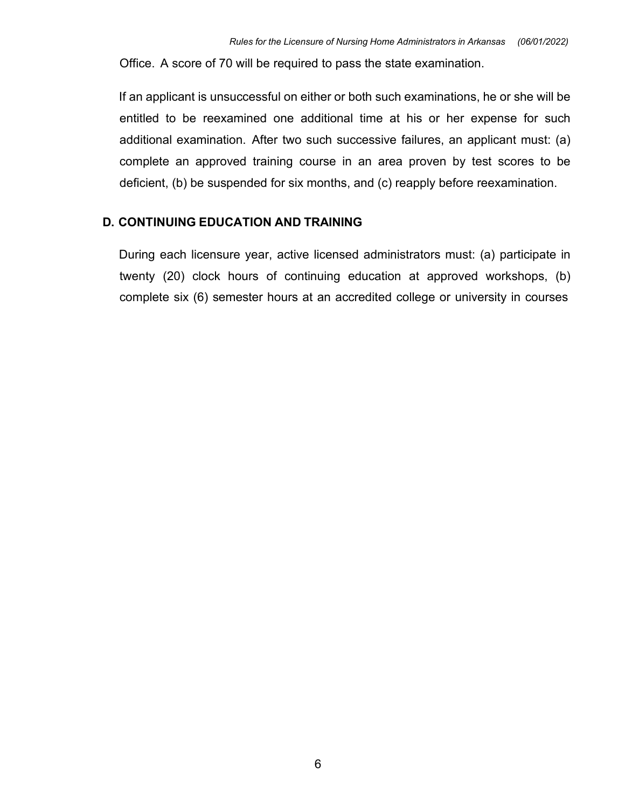Office. A score of 70 will be required to pass the state examination.

If an applicant is unsuccessful on either or both such examinations, he or she will be entitled to be reexamined one additional time at his or her expense for such additional examination. After two such successive failures, an applicant must: (a) complete an approved training course in an area proven by test scores to be deficient, (b) be suspended for six months, and (c) reapply before reexamination.

#### **D. CONTINUING EDUCATION AND TRAINING**

During each licensure year, active licensed administrators must: (a) participate in twenty (20) clock hours of continuing education at approved workshops, (b) complete six (6) semester hours at an accredited college or university in courses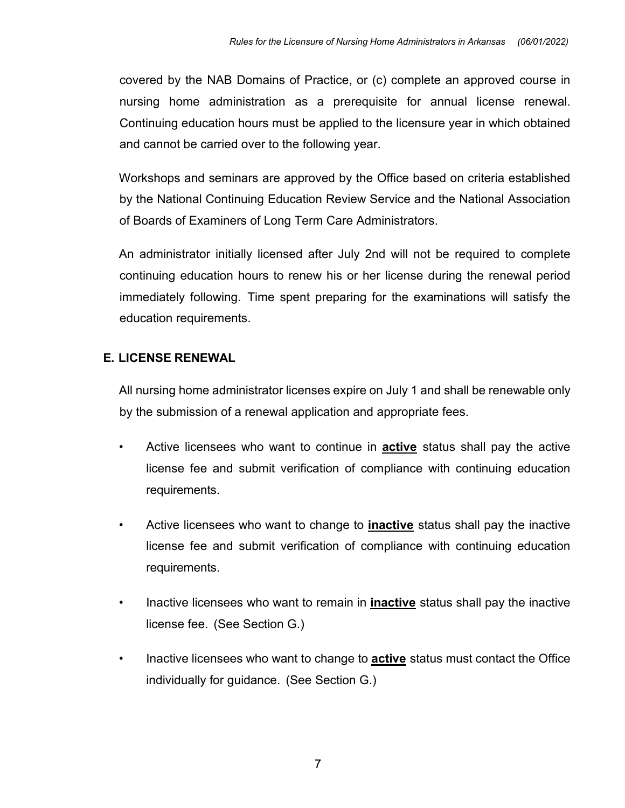covered by the NAB Domains of Practice, or (c) complete an approved course in nursing home administration as a prerequisite for annual license renewal. Continuing education hours must be applied to the licensure year in which obtained and cannot be carried over to the following year.

Workshops and seminars are approved by the Office based on criteria established by the National Continuing Education Review Service and the National Association of Boards of Examiners of Long Term Care Administrators.

An administrator initially licensed after July 2nd will not be required to complete continuing education hours to renew his or her license during the renewal period immediately following. Time spent preparing for the examinations will satisfy the education requirements.

#### **E. LICENSE RENEWAL**

All nursing home administrator licenses expire on July 1 and shall be renewable only by the submission of a renewal application and appropriate fees.

- Active licensees who want to continue in **active** status shall pay the active license fee and submit verification of compliance with continuing education requirements.
- Active licensees who want to change to **inactive** status shall pay the inactive license fee and submit verification of compliance with continuing education requirements.
- Inactive licensees who want to remain in **inactive** status shall pay the inactive license fee. (See Section G.)
- Inactive licensees who want to change to **active** status must contact the Office individually for guidance. (See Section G.)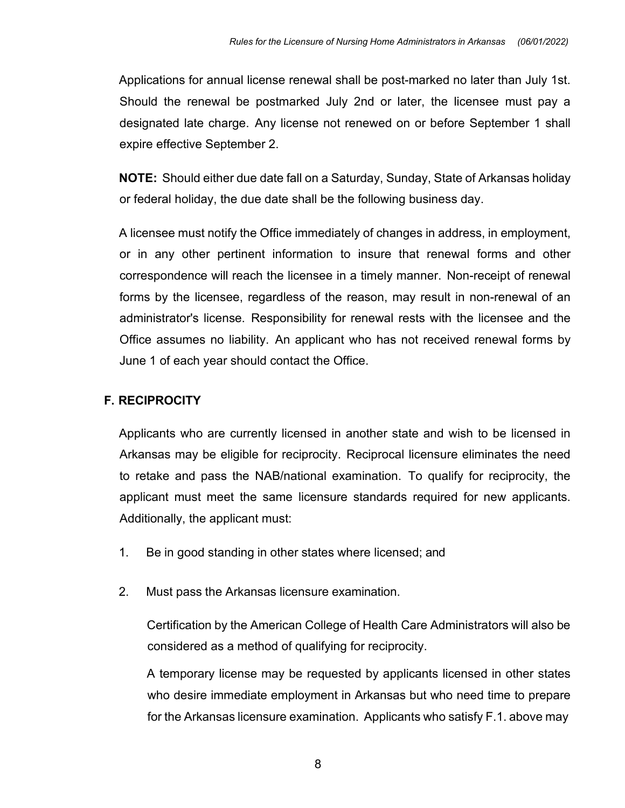Applications for annual license renewal shall be post-marked no later than July 1st. Should the renewal be postmarked July 2nd or later, the licensee must pay a designated late charge. Any license not renewed on or before September 1 shall expire effective September 2.

**NOTE:** Should either due date fall on a Saturday, Sunday, State of Arkansas holiday or federal holiday, the due date shall be the following business day.

A licensee must notify the Office immediately of changes in address, in employment, or in any other pertinent information to insure that renewal forms and other correspondence will reach the licensee in a timely manner. Non-receipt of renewal forms by the licensee, regardless of the reason, may result in non-renewal of an administrator's license. Responsibility for renewal rests with the licensee and the Office assumes no liability. An applicant who has not received renewal forms by June 1 of each year should contact the Office.

#### **F. RECIPROCITY**

Applicants who are currently licensed in another state and wish to be licensed in Arkansas may be eligible for reciprocity. Reciprocal licensure eliminates the need to retake and pass the NAB/national examination. To qualify for reciprocity, the applicant must meet the same licensure standards required for new applicants. Additionally, the applicant must:

- 1. Be in good standing in other states where licensed; and
- 2. Must pass the Arkansas licensure examination.

Certification by the American College of Health Care Administrators will also be considered as a method of qualifying for reciprocity.

A temporary license may be requested by applicants licensed in other states who desire immediate employment in Arkansas but who need time to prepare for the Arkansas licensure examination. Applicants who satisfy F.1. above may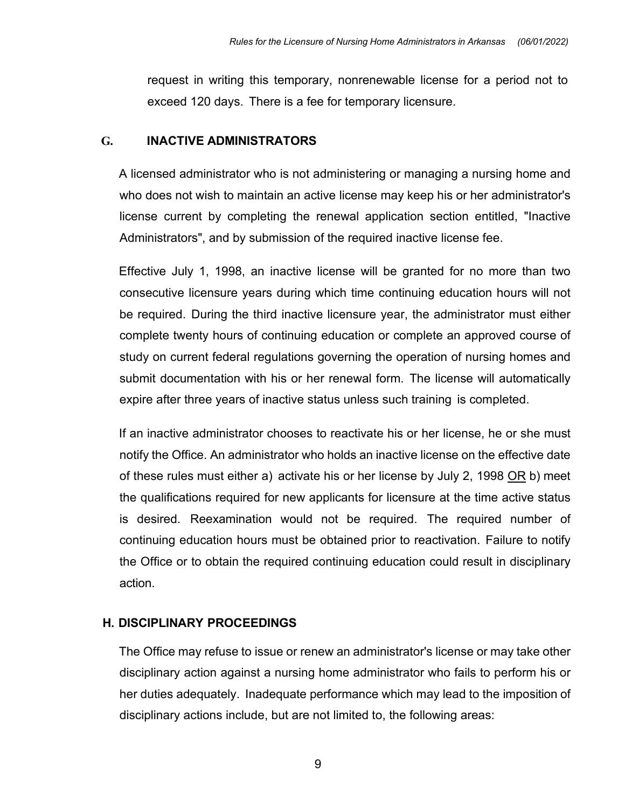request in writing this temporary, nonrenewable license for a period not to exceed 120 days. There is a fee for temporary licensure.

#### **G. INACTIVE ADMINISTRATORS**

A licensed administrator who is not administering or managing a nursing home and who does not wish to maintain an active license may keep his or her administrator's license current by completing the renewal application section entitled, "Inactive Administrators", and by submission of the required inactive license fee.

Effective July 1, 1998, an inactive license will be granted for no more than two consecutive licensure years during which time continuing education hours will not be required. During the third inactive licensure year, the administrator must either complete twenty hours of continuing education or complete an approved course of study on current federal regulations governing the operation of nursing homes and submit documentation with his or her renewal form. The license will automatically expire after three years of inactive status unless such training is completed.

If an inactive administrator chooses to reactivate his or her license, he or she must notify the Office. An administrator who holds an inactive license on the effective date of these rules must either a) activate his or her license by July 2, 1998 OR b) meet the qualifications required for new applicants for licensure at the time active status is desired. Reexamination would not be required. The required number of continuing education hours must be obtained prior to reactivation. Failure to notify the Office or to obtain the required continuing education could result in disciplinary action.

#### **H. DISCIPLINARY PROCEEDINGS**

The Office may refuse to issue or renew an administrator's license or may take other disciplinary action against a nursing home administrator who fails to perform his or her duties adequately. Inadequate performance which may lead to the imposition of disciplinary actions include, but are not limited to, the following areas:

9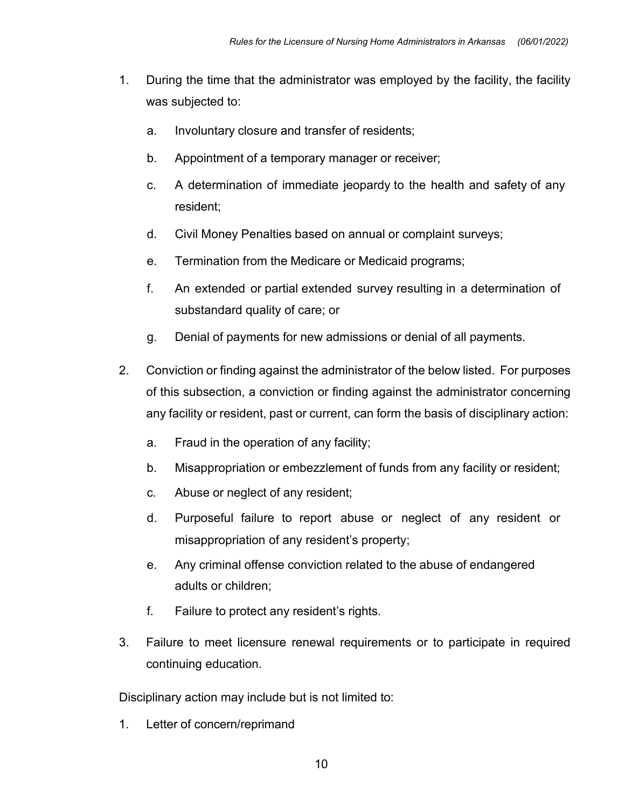- 1. During the time that the administrator was employed by the facility, the facility was subjected to:
	- a. Involuntary closure and transfer of residents;
	- b. Appointment of a temporary manager or receiver;
	- c. A determination of immediate jeopardy to the health and safety of any resident;
	- d. Civil Money Penalties based on annual or complaint surveys;
	- e. Termination from the Medicare or Medicaid programs;
	- f. An extended or partial extended survey resulting in a determination of substandard quality of care; or
	- g. Denial of payments for new admissions or denial of all payments.
- 2. Conviction or finding against the administrator of the below listed. For purposes of this subsection, a conviction or finding against the administrator concerning any facility or resident, past or current, can form the basis of disciplinary action:
	- a. Fraud in the operation of any facility;
	- b. Misappropriation or embezzlement of funds from any facility or resident;
	- c. Abuse or neglect of any resident;
	- d. Purposeful failure to report abuse or neglect of any resident or misappropriation of any resident's property;
	- e. Any criminal offense conviction related to the abuse of endangered adults or children;
	- f. Failure to protect any resident's rights.
- 3. Failure to meet licensure renewal requirements or to participate in required continuing education.

Disciplinary action may include but is not limited to:

1. Letter of concern/reprimand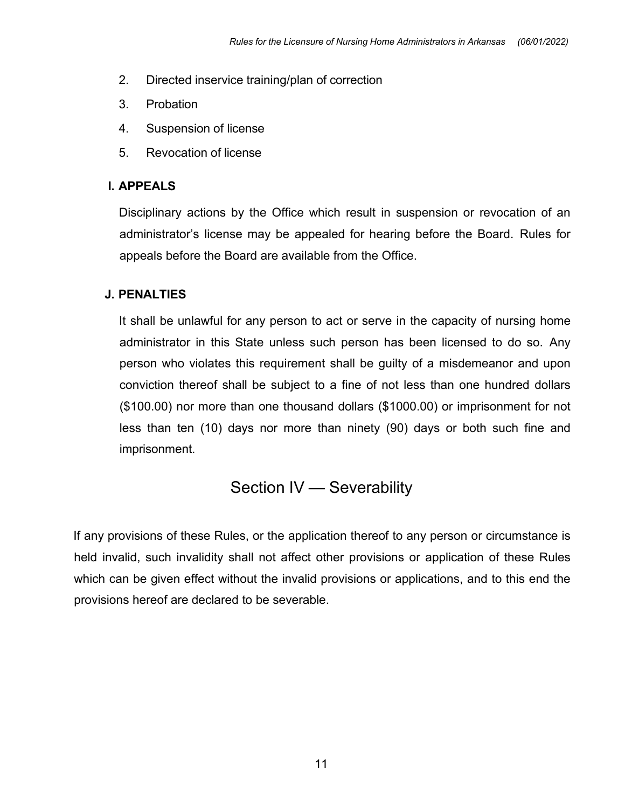- 2. Directed inservice training/plan of correction
- 3. Probation
- 4. Suspension of license
- 5. Revocation of license

#### **I. APPEALS**

Disciplinary actions by the Office which result in suspension or revocation of an administrator's license may be appealed for hearing before the Board. Rules for appeals before the Board are available from the Office.

#### **J. PENALTIES**

It shall be unlawful for any person to act or serve in the capacity of nursing home administrator in this State unless such person has been licensed to do so. Any person who violates this requirement shall be guilty of a misdemeanor and upon conviction thereof shall be subject to a fine of not less than one hundred dollars (\$100.00) nor more than one thousand dollars (\$1000.00) or imprisonment for not less than ten (10) days nor more than ninety (90) days or both such fine and imprisonment.

## Section IV - Severability

If any provisions of these Rules, or the application thereof to any person or circumstance is held invalid, such invalidity shall not affect other provisions or application of these Rules which can be given effect without the invalid provisions or applications, and to this end the provisions hereof are declared to be severable.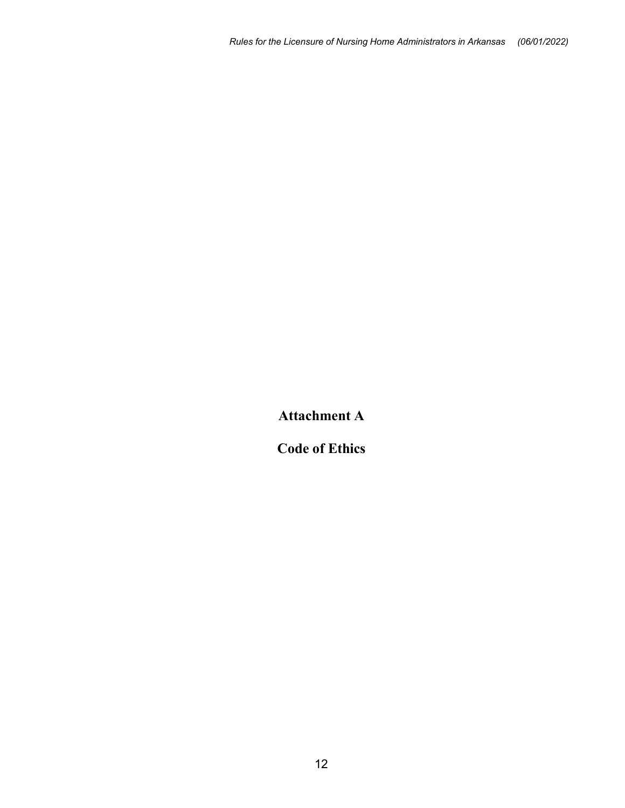**Attachment A** 

**Code of Ethics**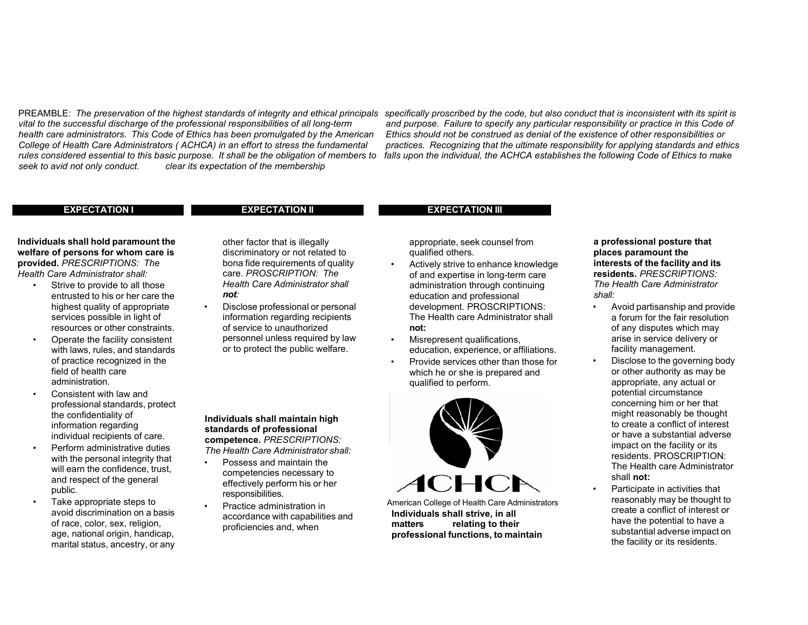PREAMBLE: The preservation of the highest standards of integrity and ethical principals specifically proscribed by the code, but also conduct that is inconsistent with its spirit is<br>vital to the successful discharge of the *health care administrators. This Code of Ethics has been promulgated by the American* College of Health Care Administrators (ACHCA) in an effort to stress the fundamental practices. Recognizing that the ultimate responsibility for applying standards and ethics<br>rules considered essential to this basic purpos *seek to avid not only conduct. clear its expectation of the membership*

*vital to the successful discharge of the professional responsibilities of all long-term and purpose. Failure to specify any particular responsibility or practice in this Code of falls upon the individual, the ACHCA establishes the following Code of Ethics to make* 

**Individuals shall hold paramount the welfare of persons for whom care is provided.** *PRESCRIPTIONS: The Health Care Administrator shall:*

- Strive to provide to all those entrusted to his or her care the highest quality of appropriate services possible in light of resources or other constraints.
- Operate the facility consistent with laws, rules, and standards of practice recognized in the field of health care administration.
- Consistent with law and professional standards, protect the confidentiality of information regarding individual recipients of care.
- Perform administrative duties with the personal integrity that will earn the confidence, trust, and respect of the general public.
- Take appropriate steps to avoid discrimination on a basis of race, color, sex, religion, age, national origin, handicap, marital status, ancestry, or any

other factor that is illegally discriminatory or not related to bona fide requirements of quality care. *PROSCRIPTION: The Health Care Administrator shall not:* 

• Disclose professional or personal information regarding recipients of service to unauthorized personnel unless required by law or to protect the public welfare.

#### **Individuals shall maintain high standards of professional competence.** *PRESCRIPTIONS: The Health Care Administrator shall:*

- Possess and maintain the competencies necessary to effectively perform his or her responsibilities.
	- Practice administration in accordance with capabilities and proficiencies and, when

#### **EXPECTATION I** EXPECTATION II EXPECTATION III

appropriate, seek counsel from qualified others.

- Actively strive to enhance knowledge of and expertise in long-term care administration through continuing education and professional development. PROSCRIPTIONS: The Health care Administrator shall **not:**
- Misrepresent qualifications, education, experience, or affiliations.
- Provide services other than those for which he or she is prepared and qualified to perform.



American College of Health Care Administrators **Individuals shall strive, in all matters relating to their professional functions, to maintain**

#### **a professional posture that places paramount the interests of the facility and its residents.** *PRESCRIPTIONS: The Health Care Administrator shall:*

- Avoid partisanship and provide a forum for the fair resolution of any disputes which may arise in service delivery or facility management.
- Disclose to the governing body or other authority as may be appropriate, any actual or potential circumstance concerning him or her that might reasonably be thought to create a conflict of interest or have a substantial adverse impact on the facility or its residents. PROSCRIPTION: The Health care Administrator shall **not:**
- Participate in activities that reasonably may be thought to create a conflict of interest or have the potential to have a substantial adverse impact on the facility or its residents.